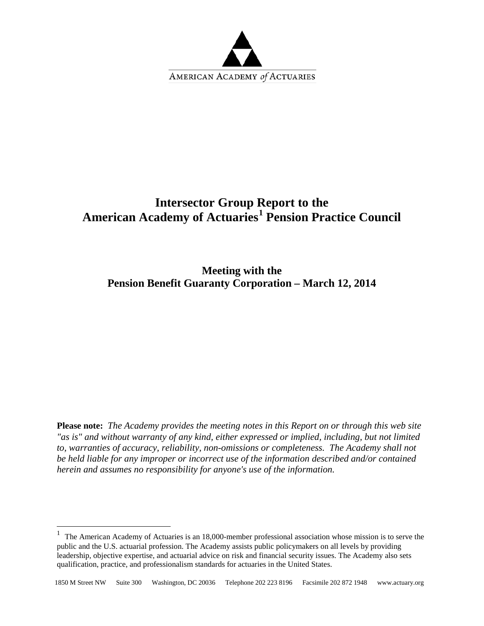

# **Intersector Group Report to the American Academy of Actuaries[1](#page-0-0) Pension Practice Council**

**Meeting with the Pension Benefit Guaranty Corporation – March 12, 2014**

**Please note:** *The Academy provides the meeting notes in this Report on or through this web site "as is" and without warranty of any kind, either expressed or implied, including, but not limited to, warranties of accuracy, reliability, non-omissions or completeness. The Academy shall not be held liable for any improper or incorrect use of the information described and/or contained herein and assumes no responsibility for anyone's use of the information.*

<span id="page-0-0"></span><sup>&</sup>lt;sup>1</sup> The American Academy of Actuaries is an 18,000-member professional association whose mission is to serve the public and the U.S. actuarial profession. The Academy assists public policymakers on all levels by providing leadership, objective expertise, and actuarial advice on risk and financial security issues. The Academy also sets qualification, practice, and professionalism standards for actuaries in the United States.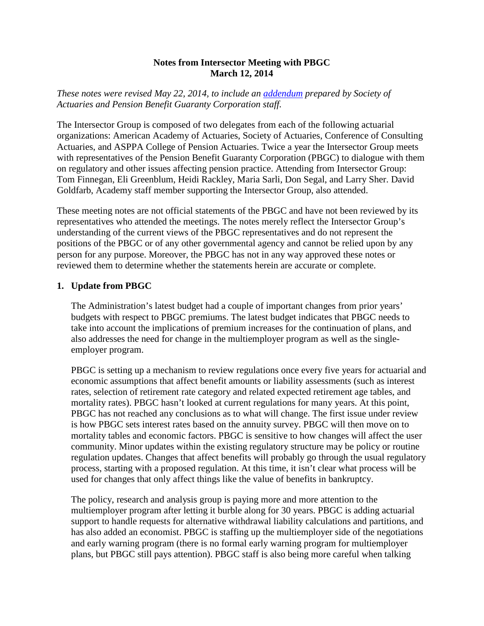#### **Notes from Intersector Meeting with PBGC March 12, 2014**

*These notes were revised May 22, 2014, to include an [addendum](#page-8-0) prepared by Society of Actuaries and Pension Benefit Guaranty Corporation staff.*

The Intersector Group is composed of two delegates from each of the following actuarial organizations: American Academy of Actuaries, Society of Actuaries, Conference of Consulting Actuaries, and ASPPA College of Pension Actuaries. Twice a year the Intersector Group meets with representatives of the Pension Benefit Guaranty Corporation (PBGC) to dialogue with them on regulatory and other issues affecting pension practice. Attending from Intersector Group: Tom Finnegan, Eli Greenblum, Heidi Rackley, Maria Sarli, Don Segal, and Larry Sher. David Goldfarb, Academy staff member supporting the Intersector Group, also attended.

These meeting notes are not official statements of the PBGC and have not been reviewed by its representatives who attended the meetings. The notes merely reflect the Intersector Group's understanding of the current views of the PBGC representatives and do not represent the positions of the PBGC or of any other governmental agency and cannot be relied upon by any person for any purpose. Moreover, the PBGC has not in any way approved these notes or reviewed them to determine whether the statements herein are accurate or complete.

#### **1. Update from PBGC**

The Administration's latest budget had a couple of important changes from prior years' budgets with respect to PBGC premiums. The latest budget indicates that PBGC needs to take into account the implications of premium increases for the continuation of plans, and also addresses the need for change in the multiemployer program as well as the singleemployer program.

PBGC is setting up a mechanism to review regulations once every five years for actuarial and economic assumptions that affect benefit amounts or liability assessments (such as interest rates, selection of retirement rate category and related expected retirement age tables, and mortality rates). PBGC hasn't looked at current regulations for many years. At this point, PBGC has not reached any conclusions as to what will change. The first issue under review is how PBGC sets interest rates based on the annuity survey. PBGC will then move on to mortality tables and economic factors. PBGC is sensitive to how changes will affect the user community. Minor updates within the existing regulatory structure may be policy or routine regulation updates. Changes that affect benefits will probably go through the usual regulatory process, starting with a proposed regulation. At this time, it isn't clear what process will be used for changes that only affect things like the value of benefits in bankruptcy.

The policy, research and analysis group is paying more and more attention to the multiemployer program after letting it burble along for 30 years. PBGC is adding actuarial support to handle requests for alternative withdrawal liability calculations and partitions, and has also added an economist. PBGC is staffing up the multiemployer side of the negotiations and early warning program (there is no formal early warning program for multiemployer plans, but PBGC still pays attention). PBGC staff is also being more careful when talking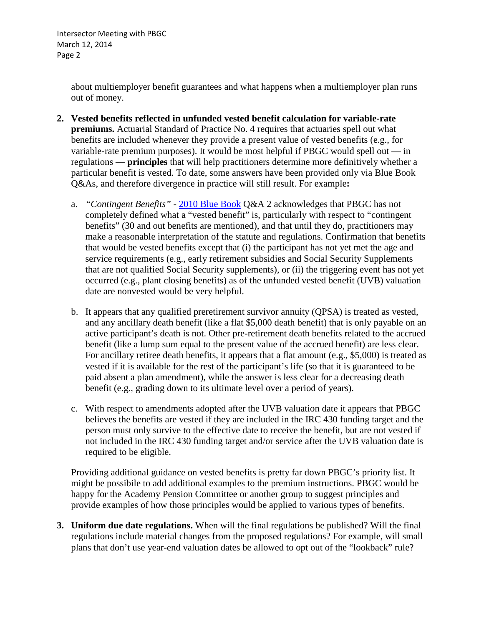Intersector Meeting with PBGC March 12, 2014 Page 2

> about multiemployer benefit guarantees and what happens when a multiemployer plan runs out of money.

- **2. Vested benefits reflected in unfunded vested benefit calculation for variable-rate premiums.** Actuarial Standard of Practice No. 4 requires that actuaries spell out what benefits are included whenever they provide a present value of vested benefits (e.g., for variable-rate premium purposes). It would be most helpful if PBGC would spell out — in regulations — **principles** that will help practitioners determine more definitively whether a particular benefit is vested. To date, some answers have been provided only via Blue Book Q&As, and therefore divergence in practice will still result. For example**:**
	- a. *"Contingent Benefits"* [2010 Blue Book](http://advantage.towers.com/lm/advqueryid.asp?id=68083) Q&A 2 acknowledges that PBGC has not completely defined what a "vested benefit" is, particularly with respect to "contingent benefits" (30 and out benefits are mentioned), and that until they do, practitioners may make a reasonable interpretation of the statute and regulations. Confirmation that benefits that would be vested benefits except that (i) the participant has not yet met the age and service requirements (e.g., early retirement subsidies and Social Security Supplements that are not qualified Social Security supplements), or (ii) the triggering event has not yet occurred (e.g., plant closing benefits) as of the unfunded vested benefit (UVB) valuation date are nonvested would be very helpful.
	- b. It appears that any qualified preretirement survivor annuity (QPSA) is treated as vested, and any ancillary death benefit (like a flat \$5,000 death benefit) that is only payable on an active participant's death is not. Other pre-retirement death benefits related to the accrued benefit (like a lump sum equal to the present value of the accrued benefit) are less clear. For ancillary retiree death benefits, it appears that a flat amount (e.g., \$5,000) is treated as vested if it is available for the rest of the participant's life (so that it is guaranteed to be paid absent a plan amendment), while the answer is less clear for a decreasing death benefit (e.g., grading down to its ultimate level over a period of years).
	- c. With respect to amendments adopted after the UVB valuation date it appears that PBGC believes the benefits are vested if they are included in the IRC 430 funding target and the person must only survive to the effective date to receive the benefit, but are not vested if not included in the IRC 430 funding target and/or service after the UVB valuation date is required to be eligible.

Providing additional guidance on vested benefits is pretty far down PBGC's priority list. It might be possibile to add additional examples to the premium instructions. PBGC would be happy for the Academy Pension Committee or another group to suggest principles and provide examples of how those principles would be applied to various types of benefits.

**3. Uniform due date regulations.** When will the final regulations be published? Will the final regulations include material changes from the proposed regulations? For example, will small plans that don't use year-end valuation dates be allowed to opt out of the "lookback" rule?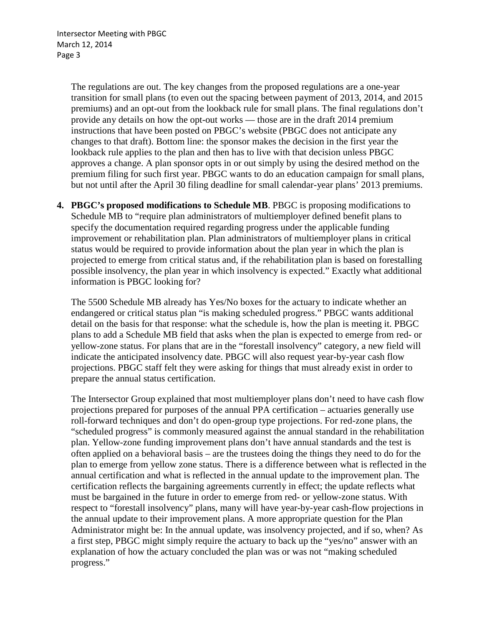The regulations are out. The key changes from the proposed regulations are a one-year transition for small plans (to even out the spacing between payment of 2013, 2014, and 2015 premiums) and an opt-out from the lookback rule for small plans. The final regulations don't provide any details on how the opt-out works — those are in the draft 2014 premium instructions that have been posted on PBGC's website (PBGC does not anticipate any changes to that draft). Bottom line: the sponsor makes the decision in the first year the lookback rule applies to the plan and then has to live with that decision unless PBGC approves a change. A plan sponsor opts in or out simply by using the desired method on the premium filing for such first year. PBGC wants to do an education campaign for small plans, but not until after the April 30 filing deadline for small calendar-year plans' 2013 premiums.

**4. PBGC's proposed modifications to Schedule MB**. PBGC is proposing modifications to Schedule MB to "require plan administrators of multiemployer defined benefit plans to specify the documentation required regarding progress under the applicable funding improvement or rehabilitation plan. Plan administrators of multiemployer plans in critical status would be required to provide information about the plan year in which the plan is projected to emerge from critical status and, if the rehabilitation plan is based on forestalling possible insolvency, the plan year in which insolvency is expected." Exactly what additional information is PBGC looking for?

The 5500 Schedule MB already has Yes/No boxes for the actuary to indicate whether an endangered or critical status plan "is making scheduled progress." PBGC wants additional detail on the basis for that response: what the schedule is, how the plan is meeting it. PBGC plans to add a Schedule MB field that asks when the plan is expected to emerge from red- or yellow-zone status. For plans that are in the "forestall insolvency" category, a new field will indicate the anticipated insolvency date. PBGC will also request year-by-year cash flow projections. PBGC staff felt they were asking for things that must already exist in order to prepare the annual status certification.

The Intersector Group explained that most multiemployer plans don't need to have cash flow projections prepared for purposes of the annual PPA certification – actuaries generally use roll-forward techniques and don't do open-group type projections. For red-zone plans, the "scheduled progress" is commonly measured against the annual standard in the rehabilitation plan. Yellow-zone funding improvement plans don't have annual standards and the test is often applied on a behavioral basis – are the trustees doing the things they need to do for the plan to emerge from yellow zone status. There is a difference between what is reflected in the annual certification and what is reflected in the annual update to the improvement plan. The certification reflects the bargaining agreements currently in effect; the update reflects what must be bargained in the future in order to emerge from red- or yellow-zone status. With respect to "forestall insolvency" plans, many will have year-by-year cash-flow projections in the annual update to their improvement plans. A more appropriate question for the Plan Administrator might be: In the annual update, was insolvency projected, and if so, when? As a first step, PBGC might simply require the actuary to back up the "yes/no" answer with an explanation of how the actuary concluded the plan was or was not "making scheduled progress."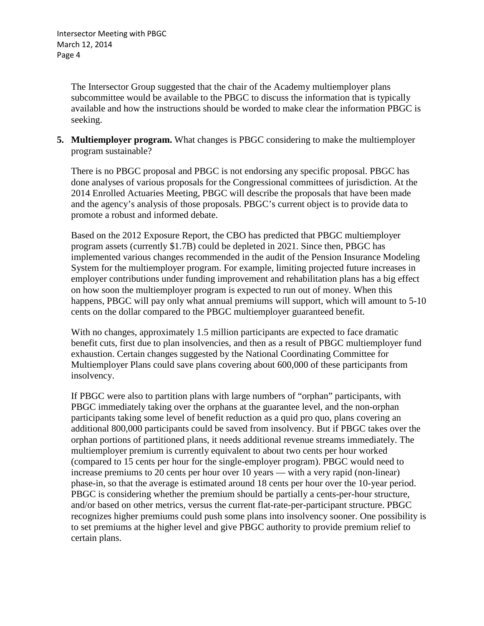The Intersector Group suggested that the chair of the Academy multiemployer plans subcommittee would be available to the PBGC to discuss the information that is typically available and how the instructions should be worded to make clear the information PBGC is seeking.

**5. Multiemployer program.** What changes is PBGC considering to make the multiemployer program sustainable?

There is no PBGC proposal and PBGC is not endorsing any specific proposal. PBGC has done analyses of various proposals for the Congressional committees of jurisdiction. At the 2014 Enrolled Actuaries Meeting, PBGC will describe the proposals that have been made and the agency's analysis of those proposals. PBGC's current object is to provide data to promote a robust and informed debate.

Based on the 2012 Exposure Report, the CBO has predicted that PBGC multiemployer program assets (currently \$1.7B) could be depleted in 2021. Since then, PBGC has implemented various changes recommended in the audit of the Pension Insurance Modeling System for the multiemployer program. For example, limiting projected future increases in employer contributions under funding improvement and rehabilitation plans has a big effect on how soon the multiemployer program is expected to run out of money. When this happens, PBGC will pay only what annual premiums will support, which will amount to 5-10 cents on the dollar compared to the PBGC multiemployer guaranteed benefit.

With no changes, approximately 1.5 million participants are expected to face dramatic benefit cuts, first due to plan insolvencies, and then as a result of PBGC multiemployer fund exhaustion. Certain changes suggested by the National Coordinating Committee for Multiemployer Plans could save plans covering about 600,000 of these participants from insolvency.

If PBGC were also to partition plans with large numbers of "orphan" participants, with PBGC immediately taking over the orphans at the guarantee level, and the non-orphan participants taking some level of benefit reduction as a quid pro quo, plans covering an additional 800,000 participants could be saved from insolvency. But if PBGC takes over the orphan portions of partitioned plans, it needs additional revenue streams immediately. The multiemployer premium is currently equivalent to about two cents per hour worked (compared to 15 cents per hour for the single-employer program). PBGC would need to increase premiums to 20 cents per hour over 10 years — with a very rapid (non-linear) phase-in, so that the average is estimated around 18 cents per hour over the 10-year period. PBGC is considering whether the premium should be partially a cents-per-hour structure, and/or based on other metrics, versus the current flat-rate-per-participant structure. PBGC recognizes higher premiums could push some plans into insolvency sooner. One possibility is to set premiums at the higher level and give PBGC authority to provide premium relief to certain plans.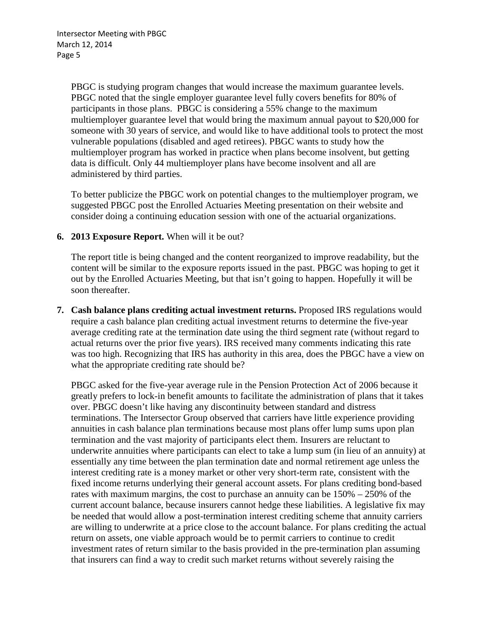PBGC is studying program changes that would increase the maximum guarantee levels. PBGC noted that the single employer guarantee level fully covers benefits for 80% of participants in those plans. PBGC is considering a 55% change to the maximum multiemployer guarantee level that would bring the maximum annual payout to \$20,000 for someone with 30 years of service, and would like to have additional tools to protect the most vulnerable populations (disabled and aged retirees). PBGC wants to study how the multiemployer program has worked in practice when plans become insolvent, but getting data is difficult. Only 44 multiemployer plans have become insolvent and all are administered by third parties.

To better publicize the PBGC work on potential changes to the multiemployer program, we suggested PBGC post the Enrolled Actuaries Meeting presentation on their website and consider doing a continuing education session with one of the actuarial organizations.

#### **6. 2013 Exposure Report.** When will it be out?

The report title is being changed and the content reorganized to improve readability, but the content will be similar to the exposure reports issued in the past. PBGC was hoping to get it out by the Enrolled Actuaries Meeting, but that isn't going to happen. Hopefully it will be soon thereafter.

**7. Cash balance plans crediting actual investment returns.** Proposed IRS regulations would require a cash balance plan crediting actual investment returns to determine the five-year average crediting rate at the termination date using the third segment rate (without regard to actual returns over the prior five years). IRS received many comments indicating this rate was too high. Recognizing that IRS has authority in this area, does the PBGC have a view on what the appropriate crediting rate should be?

PBGC asked for the five-year average rule in the Pension Protection Act of 2006 because it greatly prefers to lock-in benefit amounts to facilitate the administration of plans that it takes over. PBGC doesn't like having any discontinuity between standard and distress terminations. The Intersector Group observed that carriers have little experience providing annuities in cash balance plan terminations because most plans offer lump sums upon plan termination and the vast majority of participants elect them. Insurers are reluctant to underwrite annuities where participants can elect to take a lump sum (in lieu of an annuity) at essentially any time between the plan termination date and normal retirement age unless the interest crediting rate is a money market or other very short-term rate, consistent with the fixed income returns underlying their general account assets. For plans crediting bond-based rates with maximum margins, the cost to purchase an annuity can be 150% – 250% of the current account balance, because insurers cannot hedge these liabilities. A legislative fix may be needed that would allow a post-termination interest crediting scheme that annuity carriers are willing to underwrite at a price close to the account balance. For plans crediting the actual return on assets, one viable approach would be to permit carriers to continue to credit investment rates of return similar to the basis provided in the pre-termination plan assuming that insurers can find a way to credit such market returns without severely raising the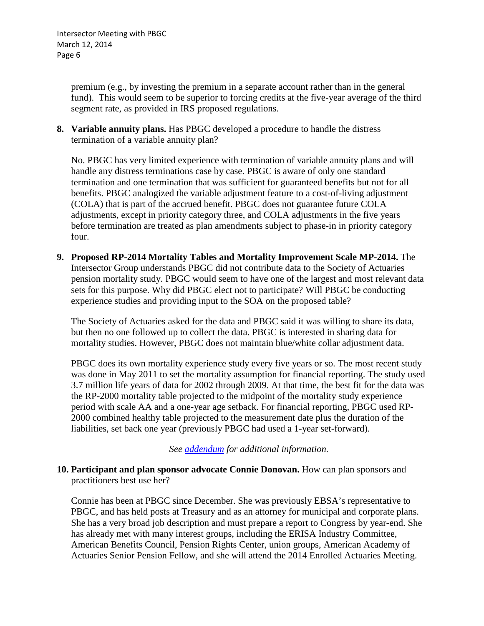premium (e.g., by investing the premium in a separate account rather than in the general fund). This would seem to be superior to forcing credits at the five-year average of the third segment rate, as provided in IRS proposed regulations.

**8. Variable annuity plans.** Has PBGC developed a procedure to handle the distress termination of a variable annuity plan?

No. PBGC has very limited experience with termination of variable annuity plans and will handle any distress terminations case by case. PBGC is aware of only one standard termination and one termination that was sufficient for guaranteed benefits but not for all benefits. PBGC analogized the variable adjustment feature to a cost-of-living adjustment (COLA) that is part of the accrued benefit. PBGC does not guarantee future COLA adjustments, except in priority category three, and COLA adjustments in the five years before termination are treated as plan amendments subject to phase-in in priority category four.

**9. Proposed RP-2014 Mortality Tables and Mortality Improvement Scale MP-2014.** The Intersector Group understands PBGC did not contribute data to the Society of Actuaries pension mortality study. PBGC would seem to have one of the largest and most relevant data sets for this purpose. Why did PBGC elect not to participate? Will PBGC be conducting experience studies and providing input to the SOA on the proposed table?

The Society of Actuaries asked for the data and PBGC said it was willing to share its data, but then no one followed up to collect the data. PBGC is interested in sharing data for mortality studies. However, PBGC does not maintain blue/white collar adjustment data.

PBGC does its own mortality experience study every five years or so. The most recent study was done in May 2011 to set the mortality assumption for financial reporting. The study used 3.7 million life years of data for 2002 through 2009. At that time, the best fit for the data was the RP-2000 mortality table projected to the midpoint of the mortality study experience period with scale AA and a one-year age setback. For financial reporting, PBGC used RP-2000 combined healthy table projected to the measurement date plus the duration of the liabilities, set back one year (previously PBGC had used a 1-year set-forward).

*See [addendum](#page-8-0) for additional information.*

## **10. Participant and plan sponsor advocate Connie Donovan.** How can plan sponsors and practitioners best use her?

Connie has been at PBGC since December. She was previously EBSA's representative to PBGC, and has held posts at Treasury and as an attorney for municipal and corporate plans. She has a very broad job description and must prepare a report to Congress by year-end. She has already met with many interest groups, including the ERISA Industry Committee, American Benefits Council, Pension Rights Center, union groups, American Academy of Actuaries Senior Pension Fellow, and she will attend the 2014 Enrolled Actuaries Meeting.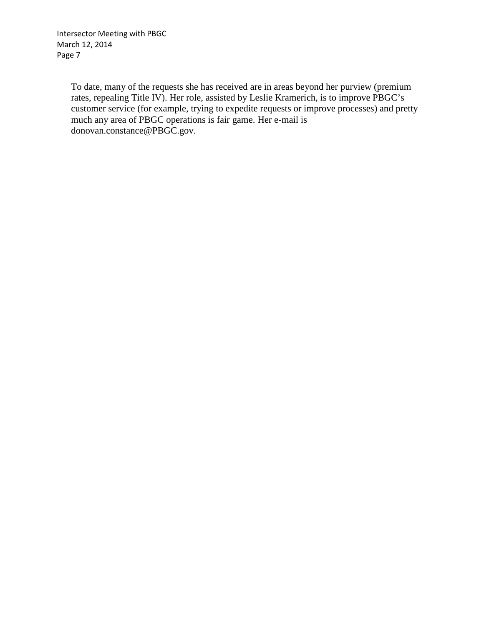Intersector Meeting with PBGC March 12, 2014 Page 7

> To date, many of the requests she has received are in areas beyond her purview (premium rates, repealing Title IV). Her role, assisted by Leslie Kramerich, is to improve PBGC's customer service (for example, trying to expedite requests or improve processes) and pretty much any area of PBGC operations is fair game. Her e-mail is donovan.constance@PBGC.gov.